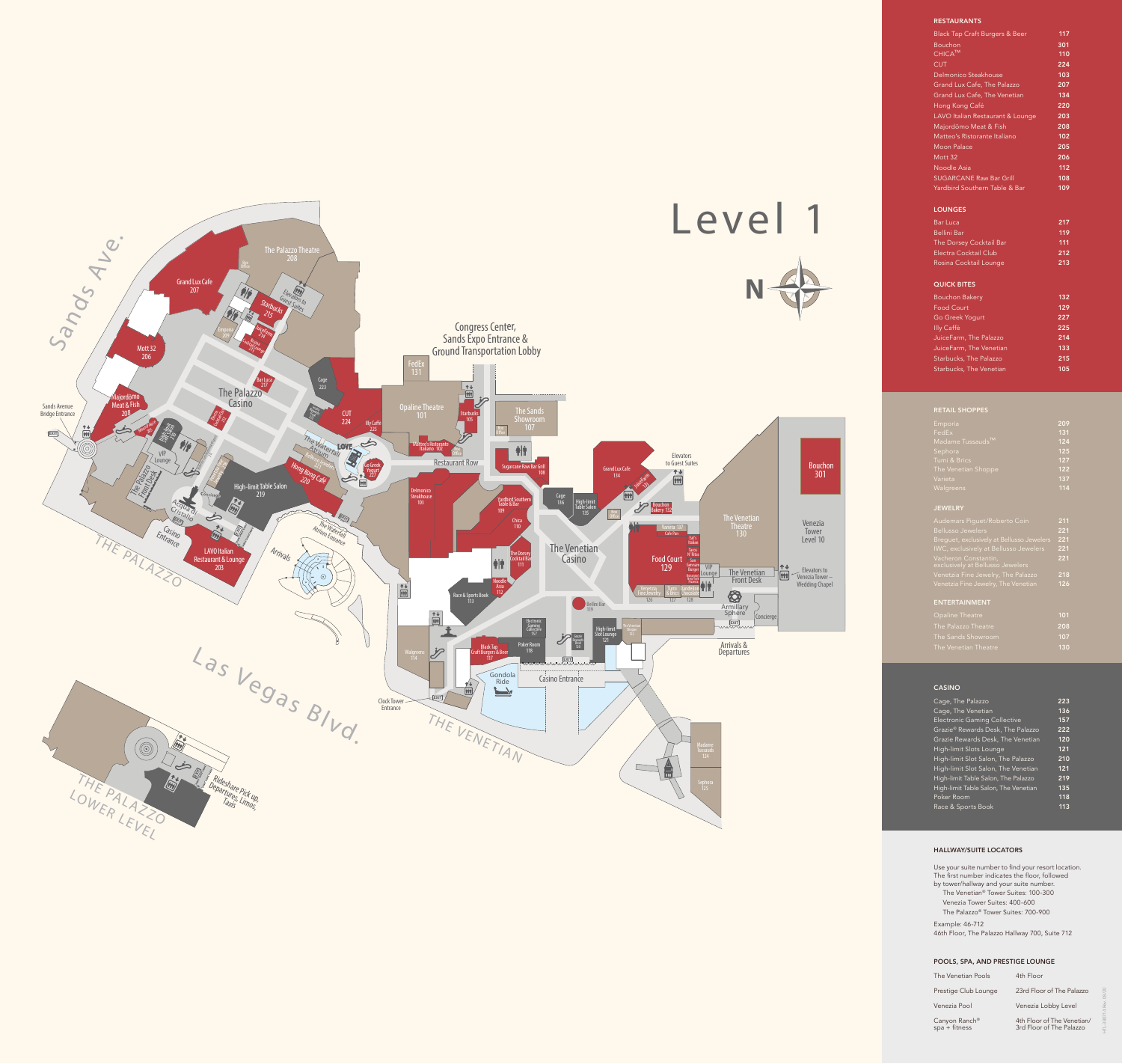

Prestige Club Lounge 23rd Floor of The Palazzo Venezia Pool Venezia Lobby Level

Canyon Ranch®<br>spa + fitness

#### HALLWAY/SUITE LOCATORS

Use your suite number to find your resort location. The first number indicates the floor, followed by tower/hallway and your suite number.

- The Venetian ® Tower Suites: 100-300
- Venezia Tower Suites: 400-600 The Palazzo ® Tower Suites: 700-900
- Example: 46-712

46th Floor, The Palazzo Hallway 700, Suite 712

### POOLS, SPA, AND PRESTIGE LOUNGE

The Venetian Pools 4th Floor

® 4th Floor of The Venetian/ spa + fitness 3rd Floor of The Palazzo

HTL-380714 Rev. 08/20

## RESTAURANTS

| <b>Black Tap Craft Burgers &amp; Beer</b> | 117 |
|-------------------------------------------|-----|
| <b>Bouchon</b>                            | 301 |
| <b>CHICA™</b>                             | 110 |
| $\overline{\text{CUT}}$                   | 224 |
| Delmonico Steakhouse                      | 103 |
| Grand Lux Cafe, The Palazzo               | 207 |
| Grand Lux Cafe, The Venetian              | 134 |
| Hong Kong Café                            | 220 |
| LAVO Italian Restaurant & Lounge          | 203 |
| Majordōmo Meat & Fish                     | 208 |
| Matteo's Ristorante Italiano              | 102 |
| Moon Palace                               | 205 |
| Mott 32                                   | 206 |
| Noodle Asia                               | 112 |
| <b>SUGARCANE Raw Bar Grill</b>            | 108 |
| Yardbird Southern Table & Bar             | 109 |
|                                           |     |
| <b>LOUNGES</b>                            |     |
| <b>Bar Luca</b>                           | 217 |
| <b>Bellini Bar</b>                        | 119 |
| The Dorsey Cocktail Bar                   | 111 |
| Electra Cocktail Club                     | 212 |
| Rosina Cocktail Lounge                    | 213 |
| <b>QUICK BITES</b>                        |     |
| <b>Bouchon Bakery</b>                     | 132 |
| <b>Food Court</b>                         | 129 |
| Go Greek Yogurt                           | 227 |
| Illy Caffè                                | 225 |
| JuiceFarm, The Palazzo                    | 214 |
| JuiceFarm, The Venetian                   | 133 |
| Starbucks, The Palazzo                    | 215 |

RETAIL SHOPPES Emporia 209 FedEx 131 Sephora 125 (135) JEWELRY Audemars Piguet/Roberto Coin **211** Bellusso Jewelers 221 IWC, exclusively at Bellusso Jewelers 221 Vacheron Constantin, 221 Venetzia Fine Jewelry, The Palazzo 218 Venetzia Fine Jewelry, The Venetian **126** ENTERTAINMENT

### CASINO

| Cage, The Palazzo                    | 223 |
|--------------------------------------|-----|
| Cage, The Venetian                   | 136 |
| <b>Electronic Gaming Collective</b>  | 157 |
| Grazie® Rewards Desk, The Palazzo    | 222 |
| Grazie Rewards Desk, The Venetian    | 120 |
| High-limit Slots Lounge              | 121 |
| High-limit Slot Salon, The Palazzo   | 210 |
| High-limit Slot Salon, The Venetian  | 121 |
| High-limit Table Salon, The Palazzo  | 219 |
| High-limit Table Salon, The Venetian | 135 |
| Poker Room                           | 118 |
| Race & Sports Book                   | 113 |
|                                      |     |